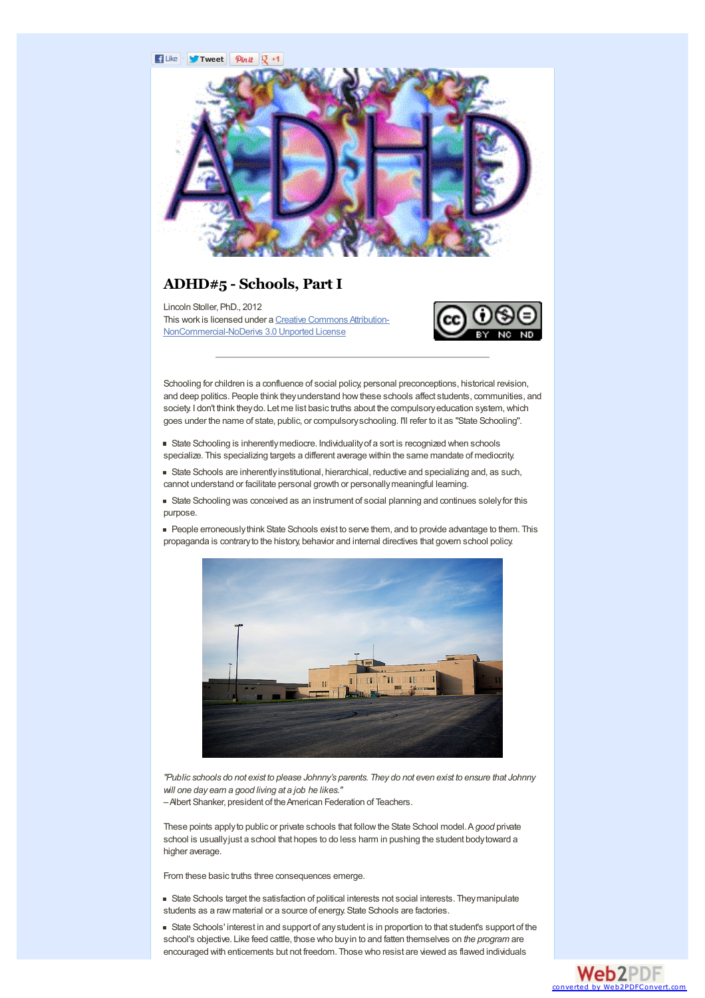#### **F** Like **Tweet**  $\int$  **Pinth**  $\int$  +1



## **ADHD#5 - Schools, Part I**

Lincoln Stoller, PhD., 2012 This work is licensed under a Creative Commons Attribution-[NonCommercial-NoDerivs](http://creativecommons.org/licenses/by-nc-nd/3.0/deed.en_US) 3.0 Unported License



Schooling for children is a confluence of social policy, personal preconceptions, historical revision, and deep politics. People think theyunderstand howthese schools affect students, communities, and society. I don't think they do. Let me list basic truths about the compulsory education system, which goes under the name of state, public, or compulsoryschooling. I'll refer to it as "State Schooling".

State Schooling is inherentlymediocre. Individualityof a sort is recognized when schools specialize. This specializing targets a different average within the same mandate of mediocrity.

State Schools are inherentlyinstitutional, hierarchical, reductive and specializing and, as such, cannot understand or facilitate personal growth or personallymeaningful learning.

State Schooling was conceived as an instrument of social planning and continues solelyfor this purpose.

People erroneouslythink State Schools exist to serve them, and to provide advantage to them. This propaganda is contraryto the history, behavior and internal directives that govern school policy.



"Public schools do not exist to please Johnny's parents. They do not even exist to ensure that Johnny *will one day earn a good living at a job he likes."*

–Albert Shanker, president of theAmerican Federation of Teachers.

These points applyto public or private schools that followthe State School model.A*good* private school is usuallyjust a school that hopes to do less harm in pushing the student bodytoward a higher average.

From these basic truths three consequences emerge.

State Schools target the satisfaction of political interests not social interests. Theymanipulate students as a raw material or a source of energy. State Schools are factories.

State Schools' interest in and support of anystudent is in proportion to that student's support of the school's objective. Like feed cattle, those who buyin to and fatten themselves on *the program* are encouraged with enticements but not freedom. Those who resist are viewed as flawed individuals

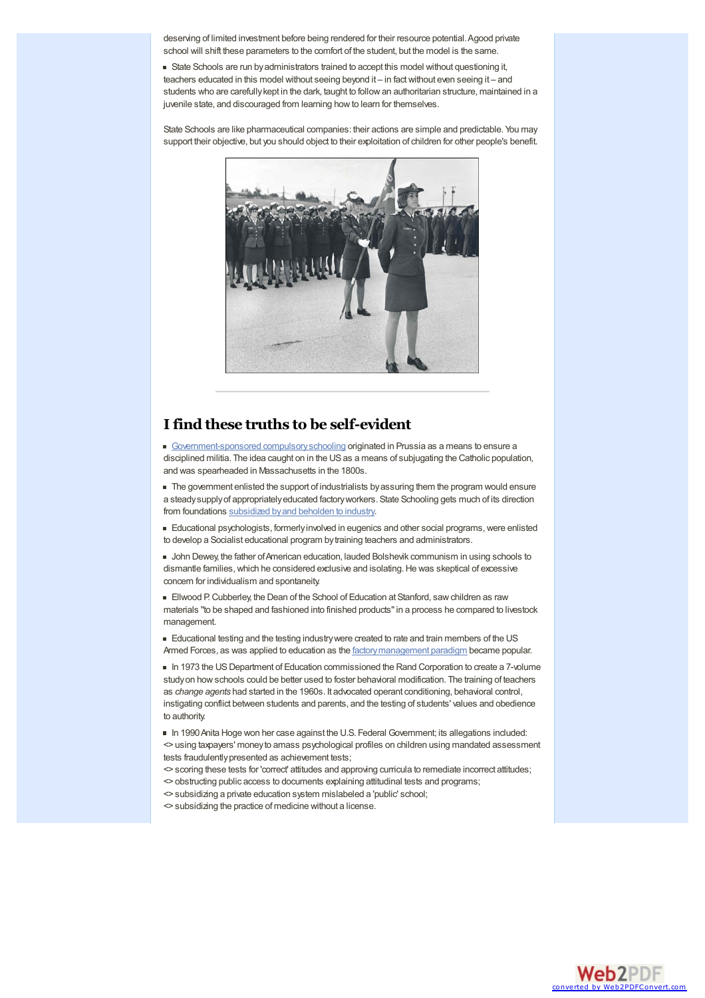deserving of limited investment before being rendered for their resource potential. Agood private school will shift these parameters to the comfort of the student, but the model is the same.

State Schools are run byadministrators trained to accept this model without questioning it, teachers educated in this model without seeing beyond it – in factwithout even seeing it – and students who are carefullykept in the dark, taught to followan authoritarian structure, maintained in a juvenile state, and discouraged from learning how to learn for themselves.

State Schools are like pharmaceutical companies: their actions are simple and predictable. You may support their objective, but you should object to their exploitation of children for other people's benefit.



## **Ifind these truths to be self-evident**

[Government-sponsored](http://wiki.mises.org/wiki/Public_education) compulsory schooling originated in Prussia as a means to ensure a disciplined militia. The idea caught on in the US as a means of subjugating the Catholic population, and was spearheaded in Massachusetts in the 1800s.

 $\blacksquare$  The government enlisted the support of industrialists by assuring them the program would ensure a steadysupplyof appropriatelyeducated factoryworkers. State Schooling gets much of its direction from foundations [subsidized](http://www.johntaylorgatto.com/historytour/history1.htm) by and beholden to industry.

Educational psychologists, formerlyinvolved in eugenics and other social programs,were enlisted to develop a Socialist educational program bytraining teachers and administrators.

John Dewey, the father ofAmerican education, lauded Bolshevik communism in using schools to dismantle families, which he considered exclusive and isolating. He was skeptical of excessive concern for individualism and spontaneity.

Ellwood P.Cubberley, the Dean of the School of Education at Stanford, sawchildren as raw materials "to be shaped and fashioned into finished products"in a process he compared to livestock management.

**Educational testing and the testing industry were created to rate and train members of the US** Armed Forces, as was applied to education as the factory management paradigm became popular.

In 1973 the US Department of Education commissioned the Rand Corporation to create a 7-volume study on how schools could be better used to foster behavioral modification. The training of teachers as *change agents* had started in the 1960s. It advocated operant conditioning, behavioral control, instigating conflict between students and parents, and the testing of students' values and obedience to authority.

In 1990Anita Hoge won her case against the U.S. Federal Government; its allegations included: <> using taxpayers' moneyto amass psychological profiles on children using mandated assessment tests fraudulently presented as achievement tests;

<> scoring these tests for 'correct' attitudes and approving curricula to remediate incorrect attitudes; <> obstructing public access to documents explaining attitudinal tests and programs;

- <> subsidizing a private education system mislabeled a 'public' school;
- <> subsidizing the practice of medicine without a license.

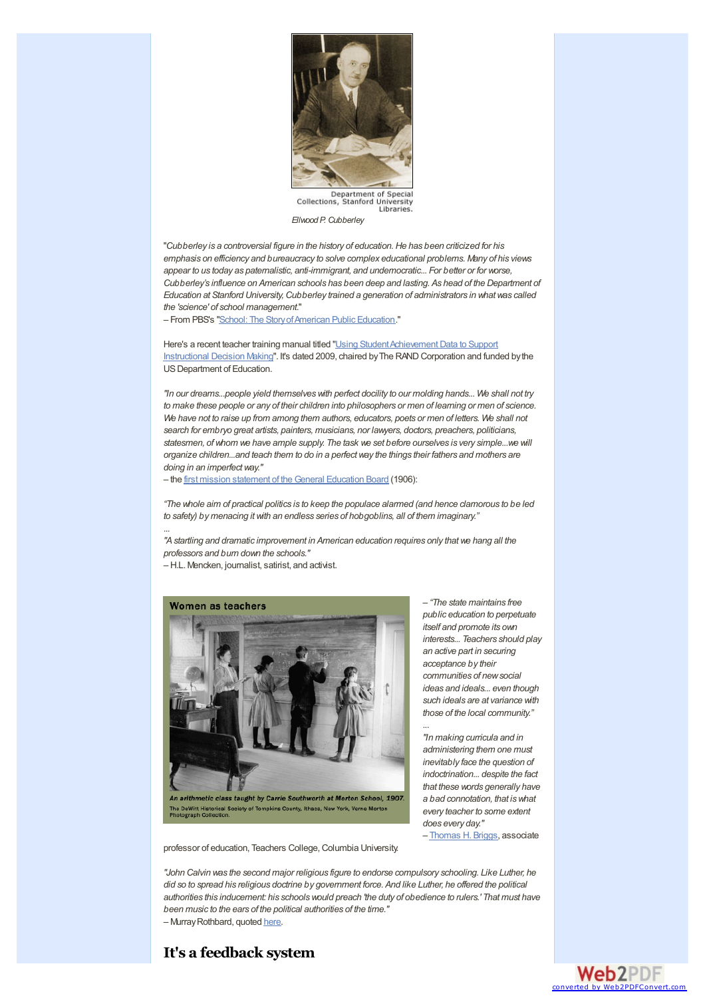

Department of Special<br>Collections, Stanford University<br>Libraries.

*Ellwood P. Cubberley*

"*Cubberley is a controversial figure in the history of education.He has been criticized for his emphasis on efficiency and bureaucracy to solve complex educational problems. Many of his views appear to us today as paternalistic, anti-immigrant, and undemocratic... For better or for worse, Cubberley's influence on American schools has been deep and lasting. As head of the Department of Education at Stanford University,Cubberley trained a generation of administrators in whatwas called the 'science' of school management*."

– From PBS's "School: The [StoryofAmerican](http://www.pbs.org/kcet/publicschool/innovators/cubberley.html) Public Education."

Here's a recent teacher training manual titled "Using Student Achievement Data to Support Instructional Decision Making". It's dated 2009, chaired by The RAND Corporation and funded by the US Department of Education.

*"In our dreams...people yield themselveswith perfect docility to our molding hands... We shall not try* to make these people or any of their children into philosophers or men of learning or men of science. We have not to raise up from among them authors, educators, poets or men of letters. We shall not *search for embryo great artists, painters, musicians, nor lawyers, doctors, preachers, politicians, statesmen, ofwhom we have ample supply. The task we set before ourselves is very simple...we will organize children...and teach them to do in a perfectway the things their fathers and mothers are doing in an imperfectway."*

– the first mission statement of [theGeneral](http://www.johntaylorgatto.com/chapters/2i.htm) Education Board (1906):

"The whole aim of practical politics is to keep the populace alarmed (and hence clamorous to be led *to safety) by menacing itwith an endless series of hobgoblins, all of them imaginary."*

*"Astartling and dramatic improvement in American education requires only thatwe hang all the professors and burn down the schools."*

– H.L. Mencken, journalist, satirist, and activist.

...



– *"The state maintains free public education to perpetuate itself and promote its own interests... Teachers should play an active part in securing acceptance by their communities of newsocial ideas and ideals... even though such ideals are at variance with those of the local community."*

*"In making curricula and in administering them one must inevitably face the question of indoctrination... despite the fact that these words generally have a bad connotation, that iswhat every teacher to some extent does every day."*

...

– [Thomas](http://www.tcrecord.org/AuthorDisplay.asp?aid=16910) H. Briggs, associate

professor of education, Teachers College, Columbia University.

*"John Calvin was the second major religious figure to endorse compulsory schooling. Like Luther, he did so to spread his religious doctrine by government force. And like Luther, he offered the political authorities this inducement: his schoolswould preach 'the duty of obedience to rulers.' That must have been music to the ears of the political authorities of the time."* – MurrayRothbard, quoted [here](http://www.lewrockwell.com/ostrowski/ostrowski93.1.html).

## **It's a feedback system**

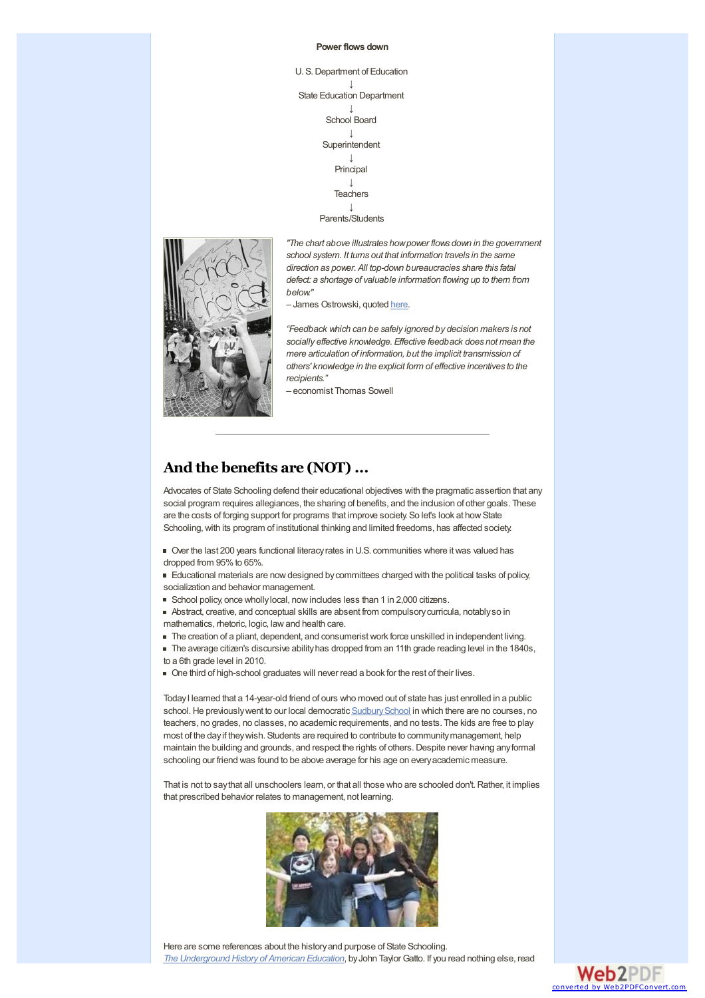#### **Power flows down**

U. S.Department of Education ↓ State Education Department ↓ School Board ↓ Superintendent ↓ Principal  $\downarrow$ 

**Teachers** ↓

Parents/Students



*"The chart above illustrates howpower flows down in the government school system. It turns out that information travels in the same direction as power. All top-down bureaucracies share this fatal defect: a shortage of valuable information flowing up to them from below."*

- James Ostrowski, quoted [here](http://www.lewrockwell.com/ostrowski/ostrowski93.1.html).

*"Feedback which can be safely ignored by decision makers is not socially effective knowledge. Effective feedback does not mean the mere articulation of information, but the implicit transmission of others' knowledge in the explicit form of effective incentives to the recipients."*

– economist Thomas Sowell

# **And the benefits are (NOT)...**

Advocates of State Schooling defend their educational objectives with the pragmatic assertion that any social program requires allegiances, the sharing of benefits, and the inclusion of other goals. These are the costs of forging support for programs that improve society. So let's look at howState Schooling, with its program of institutional thinking and limited freedoms, has affected society.

Over the last 200 years functional literacyrates in U.S. communities where itwas valued has dropped from 95% to 65%.

Educational materials are nowdesigned bycommittees charged with the political tasks of policy, socialization and behavior management.

School policy, once whollylocal, nowincludes less than 1 in 2,000 citizens.

Abstract, creative, and conceptual skills are absent from compulsorycurricula, notablyso in mathematics, rhetoric, logic, lawand health care.

- The creation of a pliant, dependent, and consumeristwork force unskilled in independent living.
- The average citizen's discursive ability has dropped from an 11th grade reading level in the 1840s, to a 6th grade level in 2010.
- One third of high-school graduates will never read a book for the rest of their lives.

TodayI learned that a 14-year-old friend of ours who moved out of state has just enrolled in a public school. He previously went to our local democratic Sudbury School in which there are no courses, no teachers, no grades, no classes, no academic requirements, and no tests. The kids are free to play most of the dayif theywish. Students are required to contribute to communitymanagement, help maintain the building and grounds, and respect the rights of others.Despite never having anyformal schooling our friend was found to be above average for his age on everyacademic measure.

That is not to say that all unschoolers learn, or that all those who are schooled don't. Rather, it implies that prescribed behavior relates to management, not learning.



Here are some references about the historyand purpose of State Schooling. *The [Underground](http://www.johntaylorgatto.com/chapters/index.htm) History of American Education*, byJohn TaylorGatto. If you read nothing else, read

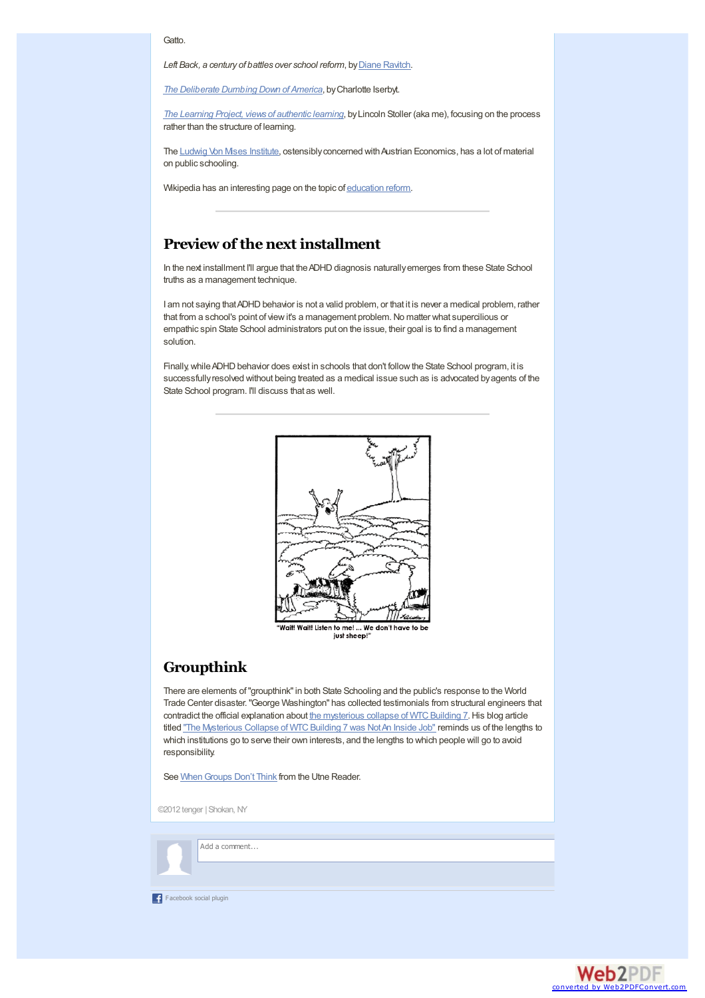### Gatto.

*Left* Back, a century of *battles* over *school reform*, by **Diane [Ravitch](http://dianeravitch.com/)**.

*The [Deliberate](http://www.deliberatedumbingdown.com/) Dumbing Down of America*, byCharlotte Iserbyt.

*The Learning Project, views of [authentic](http://www.tengerresearch.com/learn) learning*, byLincoln Stoller (aka me), focusing on the process rather than the structure of learning.

The Ludwig Von Mises [Institute](http://mises.org/daily/), ostensibly concerned with Austrian Economics, has a lot of material on public schooling.

Wikipedia has an interesting page on the topic of [education](http://en.wikipedia.org/wiki/Education_reform) reform.

## **Preview of the next installment**

In the next installment I'll argue that the ADHD diagnosis naturally emerges from these State School truths as a management technique.

I am not saying that ADHD behavior is not a valid problem, or that it is never a medical problem, rather that from a school's point of view it's a management problem. No matter what supercilious or empathic spin State School administrators put on the issue, their goal is to find a management solution.

Finally, while ADHD behavior does exist in schools that don't follow the State School program, it is successfullyresolved without being treated as a medical issue such as is advocated byagents of the State School program. I'll discuss that as well.



just sheep!

## **Groupthink**

There are elements of"groupthink"in both State Schooling and the public's response to the World Trade Center disaster."George Washington" has collected testimonials from structural engineers that contradict the official explanation about the mysterious collapse of WTC Building 7. His blog article titled "The Mysterious Collapse of WTC Building 7 was Not An Inside Job" reminds us of the lengths to which institutions go to serve their own interests, and the lengths to which people will go to avoid responsibility.

See When Groups Don't Think from the Utne Reader.

©2012 tenger |Shokan, NY

## Add a comment...

F acebook social plugin